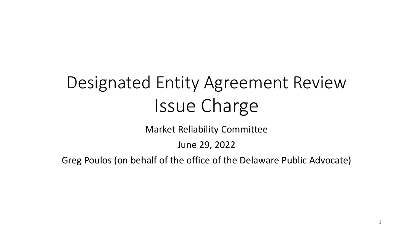## Designated Entity Agreement Review Issue Charge

Market Reliability Committee

June 29, 2022

Greg Poulos (on behalf of the office of the Delaware Public Advocate)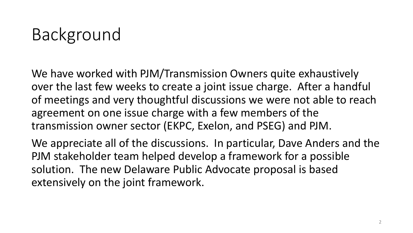## Background

We have worked with PJM/Transmission Owners quite exhaustively over the last few weeks to create a joint issue charge. After a handful of meetings and very thoughtful discussions we were not able to reach agreement on one issue charge with a few members of the transmission owner sector (EKPC, Exelon, and PSEG) and PJM.

We appreciate all of the discussions. In particular, Dave Anders and the PJM stakeholder team helped develop a framework for a possible solution. The new Delaware Public Advocate proposal is based extensively on the joint framework.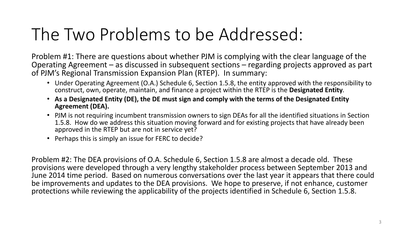### The Two Problems to be Addressed:

Problem #1: There are questions about whether PJM is complying with the clear language of the Operating Agreement – as discussed in subsequent sections – regarding projects approved as part of PJM's Regional Transmission Expansion Plan (RTEP). In summary:

- Under Operating Agreement (O.A.) Schedule 6, Section 1.5.8, the entity approved with the responsibility to construct, own, operate, maintain, and finance a project within the RTEP is the **Designated Entity**.
- **As a Designated Entity (DE), the DE must sign and comply with the terms of the Designated Entity Agreement (DEA).**
- PJM is not requiring incumbent transmission owners to sign DEAs for all the identified situations in Section 1.5.8. How do we address this situation moving forward and for existing projects that have already been approved in the RTEP but are not in service yet?
- Perhaps this is simply an issue for FERC to decide?

Problem #2: The DEA provisions of O.A. Schedule 6, Section 1.5.8 are almost a decade old. These provisions were developed through a very lengthy stakeholder process between September 2013 and June 2014 time period. Based on numerous conversations over the last year it appears that there could be improvements and updates to the DEA provisions. We hope to preserve, if not enhance, customer protections while reviewing the applicability of the projects identified in Schedule 6, Section 1.5.8.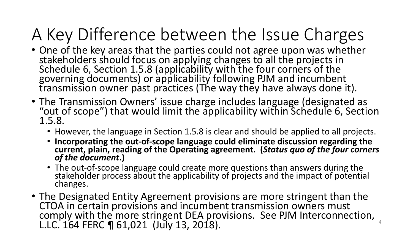## A Key Difference between the Issue Charges

- One of the key areas that the parties could not agree upon was whether stakeholders should focus on applying changes to all the projects in Schedule 6, Section 1.5.8 (applicability with the four corners of the governing documents) or applicability following PJM and incumbent transmission owner past practices (The way they have always done it).
- The Transmission Owners' issue charge includes language (designated as "out of scope") that would limit the applicability within Schedule 6, Section 1.5.8.
	- However, the language in Section 1.5.8 is clear and should be applied to all projects.
	- **Incorporating the out-of-scope language could eliminate discussion regarding the current, plain, reading of the Operating agreement. (***Status quo of the four corners of the document***.)**
	- The out-of-scope language could create more questions than answers during the stakeholder process about the applicability of projects and the impact of potential changes.
- The Designated Entity Agreement provisions are more stringent than the CTOA in certain provisions and incumbent transmission owners must comply with the more stringent DEA provisions. See PJM Interconnection, L.LC. 164 FERC ¶ 61,021 (July 13, 2018).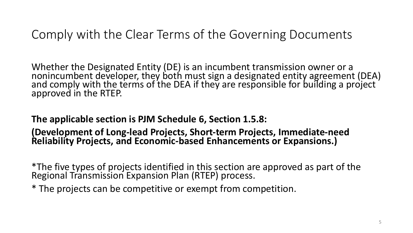#### Comply with the Clear Terms of the Governing Documents

Whether the Designated Entity (DE) is an incumbent transmission owner or a nonincumbent developer, they both must sign a designated entity agreement (DEA) and comply with the terms of the DEA if they are responsible for building a project approved in the RTEP.

**The applicable section is PJM Schedule 6, Section 1.5.8:** 

**(Development of Long-lead Projects, Short-term Projects, Immediate-need Reliability Projects, and Economic-based Enhancements or Expansions.)**

\*The five types of projects identified in this section are approved as part of the Regional Transmission Expansion Plan (RTEP) process.

\* The projects can be competitive or exempt from competition.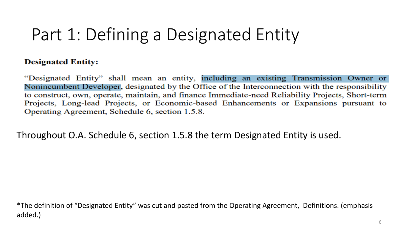## Part 1: Defining a Designated Entity

#### **Designated Entity:**

"Designated Entity" shall mean an entity, including an existing Transmission Owner or Nonincumbent Developer, designated by the Office of the Interconnection with the responsibility to construct, own, operate, maintain, and finance Immediate-need Reliability Projects, Short-term Projects, Long-lead Projects, or Economic-based Enhancements or Expansions pursuant to Operating Agreement, Schedule 6, section 1.5.8.

Throughout O.A. Schedule 6, section 1.5.8 the term Designated Entity is used.

\*The definition of "Designated Entity" was cut and pasted from the Operating Agreement, Definitions. (emphasis added.)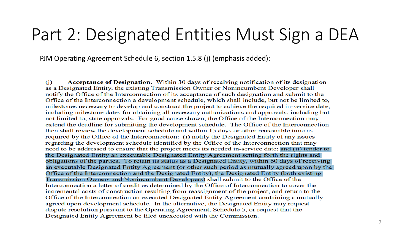### Part 2: Designated Entities Must Sign a DEA

PJM Operating Agreement Schedule 6, section 1.5.8 (j) (emphasis added):

Acceptance of Designation. Within 30 days of receiving notification of its designation (i) as a Designated Entity, the existing Transmission Owner or Nonincumbent Developer shall notify the Office of the Interconnection of its acceptance of such designation and submit to the Office of the Interconnection a development schedule, which shall include, but not be limited to, milestones necessary to develop and construct the project to achieve the required in-service date, including milestone dates for obtaining all necessary authorizations and approvals, including but not limited to, state approvals. For good cause shown, the Office of the Interconnection may extend the deadline for submitting the development schedule. The Office of the Interconnection then shall review the development schedule and within 15 days or other reasonable time as required by the Office of the Interconnection: (i) notify the Designated Entity of any issues regarding the development schedule identified by the Office of the Interconnection that may need to be addressed to ensure that the project meets its needed in-service date; and (ii) tender to the Designated Entity an executable Designated Entity Agreement setting forth the rights and obligations of the parties. To retain its status as a Designated Entity, within 60 days of receiving an executable Designated Entity Agreement (or other such period as mutually agreed upon by the Office of the Interconnection and the Designated Entity), the Designated Entity (both existing Transmission Owners and Nonincumbent Developers) shall submit to the Office of the Interconnection a letter of credit as determined by the Office of Interconnection to cover the incremental costs of construction resulting from reassignment of the project, and return to the Office of the Interconnection an executed Designated Entity Agreement containing a mutually agreed upon development schedule. In the alternative, the Designated Entity may request dispute resolution pursuant to the Operating Agreement, Schedule 5, or request that the Designated Entity Agreement be filed unexecuted with the Commission.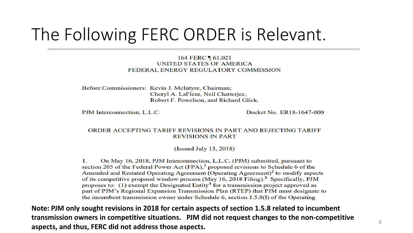### The Following FERC ORDER is Relevant.

#### 164 FERC 161,021 UNITED STATES OF AMERICA FEDERAL ENERGY REGULATORY COMMISSION

Before Commissioners: Kevin J. McIntyre, Chairman; Cheryl A. LaFleur, Neil Chatterjee, Robert F. Powelson, and Richard Glick.

PJM Interconnection, L.L.C.

Docket No. ER18-1647-000

#### ORDER ACCEPTING TARIFF REVISIONS IN PART AND REJECTING TARIFF **REVISIONS IN PART**

(Issued July 13, 2018)

On May 16, 2018, PJM Interconnection, L.L.C. (PJM) submitted, pursuant to 1. section 205 of the Federal Power Act  $(FPA)$ ,<sup>1</sup> proposed revisions to Schedule 6 of the Amended and Restated Operating Agreement (Operating Agreement)<sup>2</sup> to modify aspects of its competitive proposal window process (May 16, 2018 Filing).<sup>3</sup> Specifically, PJM proposes to: (1) exempt the Designated  $Entity<sup>4</sup>$  for a transmission project approved as part of PJM's Regional Expansion Transmission Plan (RTEP) that PJM must designate to the incumbent transmission owner under Schedule 6, section 1.5.8(1) of the Operating

**Note: PJM only sought revisions in 2018 for certain aspects of section 1.5.8 related to incumbent transmission owners in competitive situations. PJM did not request changes to the non-competitive aspects, and thus, FERC did not address those aspects.**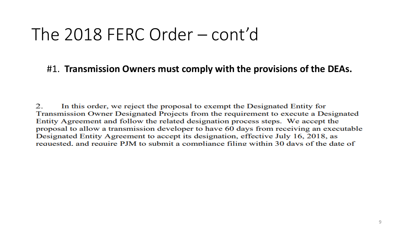### The  $2018$  FERC Order  $-$  cont'd

#### #1. Transmission Owners must comply with the provisions of the DEAs.

In this order, we reject the proposal to exempt the Designated Entity for 2. Transmission Owner Designated Projects from the requirement to execute a Designated Entity Agreement and follow the related designation process steps. We accept the proposal to allow a transmission developer to have 60 days from receiving an executable Designated Entity Agreement to accept its designation, effective July 16, 2018, as requested, and require PJM to submit a compliance filing within 30 days of the date of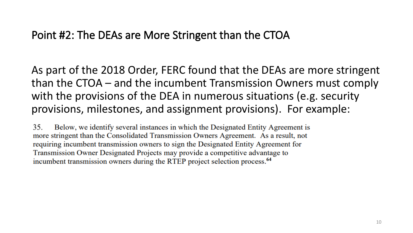#### **Point #2: The DEAs are More Stringent than the CTOA**

As part of the 2018 Order, FERC found that the DEAs are more stringent than the CTOA – and the incumbent Transmission Owners must comply with the provisions of the DEA in numerous situations (e.g. security provisions, milestones, and assignment provisions). For example:

35. Below, we identify several instances in which the Designated Entity Agreement is more stringent than the Consolidated Transmission Owners Agreement. As a result, not requiring incumbent transmission owners to sign the Designated Entity Agreement for Transmission Owner Designated Projects may provide a competitive advantage to incumbent transmission owners during the RTEP project selection process.<sup>64</sup>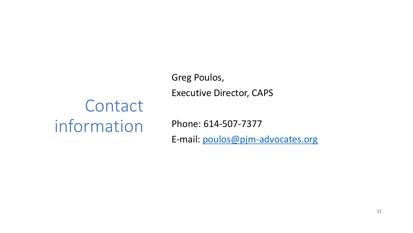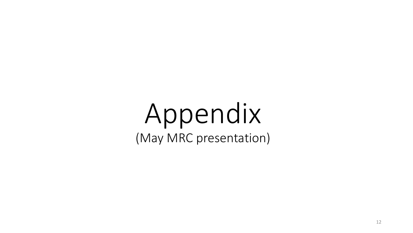# Appendix (May MRC presentation)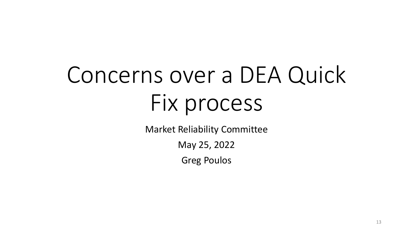# Concerns over a DEA Quick Fix process

Market Reliability Committee

May 25, 2022

Greg Poulos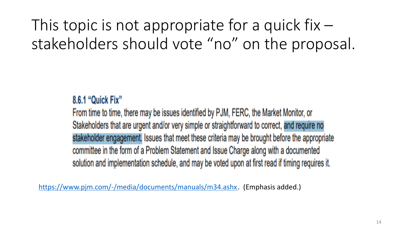

$$
\frac{1}{1} \frac{4 \cdot 1 \cdot 1 \cdot 1}{4 \cdot 1 \cdot 1 \cdot 1 \cdot 1 \cdot 2 \cdot 1} \cdot \frac{1}{1} \cdot \frac{1}{1} \cdot \frac{1}{1} \cdot \frac{1}{1} \cdot \frac{1}{1} \cdot \frac{1}{1} \cdot \frac{1}{1} \cdot \frac{1}{1} \cdot \frac{1}{1} \cdot \frac{1}{1} \cdot \frac{1}{1} \cdot \frac{1}{1} \cdot \frac{1}{1} \cdot \frac{1}{1} \cdot \frac{1}{1} \cdot \frac{1}{1} \cdot \frac{1}{1} \cdot \frac{1}{1} \cdot \frac{1}{1} \cdot \frac{1}{1} \cdot \frac{1}{1} \cdot \frac{1}{1} \cdot \frac{1}{1} \cdot \frac{1}{1} \cdot \frac{1}{1} \cdot \frac{1}{1} \cdot \frac{1}{1} \cdot \frac{1}{1} \cdot \frac{1}{1} \cdot \frac{1}{1} \cdot \frac{1}{1} \cdot \frac{1}{1} \cdot \frac{1}{1} \cdot \frac{1}{1} \cdot \frac{1}{1} \cdot \frac{1}{1} \cdot \frac{1}{1} \cdot \frac{1}{1} \cdot \frac{1}{1} \cdot \frac{1}{1} \cdot \frac{1}{1} \cdot \frac{1}{1} \cdot \frac{1}{1} \cdot \frac{1}{1} \cdot \frac{1}{1} \cdot \frac{1}{1} \cdot \frac{1}{1} \cdot \frac{1}{1} \cdot \frac{1}{1} \cdot \frac{1}{1} \cdot \frac{1}{1} \cdot \frac{1}{1} \cdot \frac{1}{1} \cdot \frac{1}{1} \cdot \frac{1}{1} \cdot \frac{1}{1} \cdot \frac{1}{1} \cdot \frac{1}{1} \cdot \frac{1}{1} \cdot \frac{1}{1} \cdot \frac{1}{1} \cdot \frac{1}{1} \cdot \frac{1}{1} \cdot \frac{1}{1} \cdot \frac{1}{1} \cdot \frac{1}{1} \cdot \frac{1}{1} \cdot \frac{1}{1} \cdot \frac{1}{1} \cdot \frac{1}{1} \cdot \frac{1}{1} \cdot \frac{1}{1} \cdot \frac{1}{1} \cdot \frac{1}{1} \cdot \frac{1}{1} \cdot \frac{1}{1} \cdot \frac{1}{1} \cdot \frac{1}{1} \cdot \frac{1}{1
$$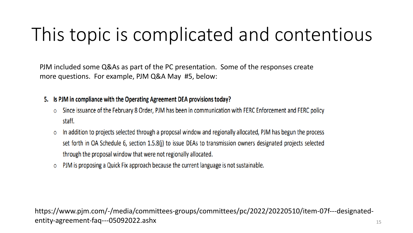## This topic is complicated and contentious

PJM included some Q&As as part of the PC presentation. Some of the responses create more questions. For example, PJM Q&A May #5, below:

- 5. Is PJM in compliance with the Operating Agreement DEA provisions today?
	- Since issuance of the February 8 Order, PJM has been in communication with FERC Enforcement and FERC policy  $\circ$ staff.
	- In addition to projects selected through a proposal window and regionally allocated, PJM has begun the process  $\circ$ set forth in OA Schedule 6, section 1.5.8(i) to issue DEAs to transmission owners designated projects selected through the proposal window that were not regionally allocated.
	- PJM is proposing a Quick Fix approach because the current language is not sustainable.  $\circ$

https://www.pjm.com/-/media/committees-groups/committees/pc/2022/20220510/item-07f---designatedentity-agreement-faq---05092022.ashx 15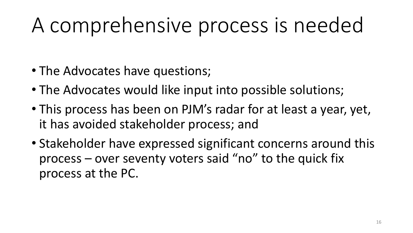# A comprehensive process is needed

- The Advocates have questions;
- The Advocates would like input into possible solutions;
- This process has been on PJM's radar for at least a year, yet, it has avoided stakeholder process; and
- Stakeholder have expressed significant concerns around this process – over seventy voters said "no" to the quick fix process at the PC.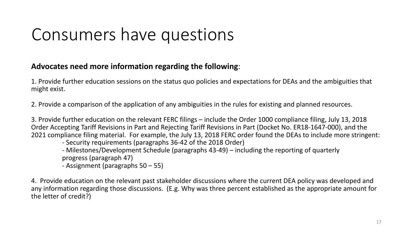### Consumers have questions

#### **Advocates need more information regarding the following**:

1. Provide further education sessions on the status quo policies and expectations for DEAs and the ambiguities that might exist.

2. Provide a comparison of the application of any ambiguities in the rules for existing and planned resources.

3. Provide further education on the relevant FERC filings – include the Order 1000 compliance filing, July 13, 2018 Order Accepting Tariff Revisions in Part and Rejecting Tariff Revisions in Part (Docket No. ER18-1647-000), and the 2021 compliance filing material. For example, the July 13, 2018 FERC order found the DEAs to include more stringent:

- Security requirements (paragraphs 36-42 of the 2018 Order)
- Milestones/Development Schedule (paragraphs 43-49) including the reporting of quarterly progress (paragraph 47)
- Assignment (paragraphs 50 55)

4. Provide education on the relevant past stakeholder discussions where the current DEA policy was developed and any information regarding those discussions. (E.g. Why was three percent established as the appropriate amount for the letter of credit?)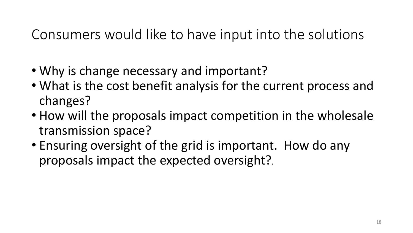### Consumers would like to have input into the solutions

- Why is change necessary and important?
- What is the cost benefit analysis for the current process and changes?
- How will the proposals impact competition in the wholesale transmission space?
- Ensuring oversight of the grid is important. How do any proposals impact the expected oversight?.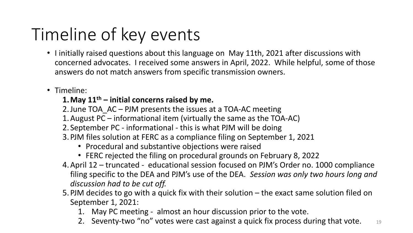## Timeline of key events

- I initially raised questions about this language on May 11th, 2021 after discussions with concerned advocates. I received some answers in April, 2022. While helpful, some of those answers do not match answers from specific transmission owners.
- Timeline:

#### **1.May 11th – initial concerns raised by me.**

- 2.June TOA\_AC PJM presents the issues at a TOA-AC meeting
- 1.August PC informational item (virtually the same as the TOA-AC)
- 2. September PC informational this is what PJM will be doing
- 3.PJM files solution at FERC as a compliance filing on September 1, 2021
	- Procedural and substantive objections were raised
	- FERC rejected the filing on procedural grounds on February 8, 2022
- 4.April 12 truncated educational session focused on PJM's Order no. 1000 compliance filing specific to the DEA and PJM's use of the DEA. *Session was only two hours long and discussion had to be cut off.*
- 5.PJM decides to go with a quick fix with their solution the exact same solution filed on September 1, 2021:
	- 1. May PC meeting almost an hour discussion prior to the vote.
	- 2. Seventy-two "no" votes were cast against a quick fix process during that vote.  $\Box$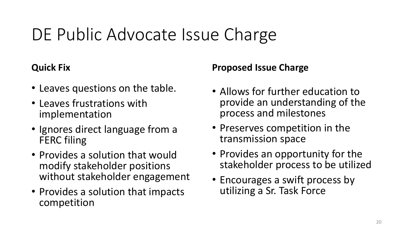## DE Public Advocate Issue Charge

#### **Quick Fix**

- Leaves questions on the table.
- Leaves frustrations with implementation
- Ignores direct language from a FERC filing
- Provides a solution that would modify stakeholder positions without stakeholder engagement
- Provides a solution that impacts competition

#### **Proposed Issue Charge**

- Allows for further education to provide an understanding of the process and milestones
- Preserves competition in the transmission space
- Provides an opportunity for the stakeholder process to be utilized
- Encourages a swift process by utilizing a Sr. Task Force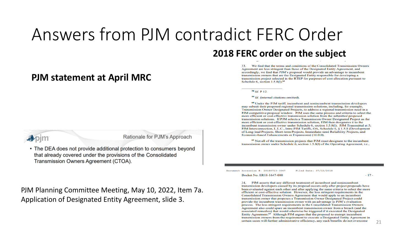### Answers from PJM contradict FERC Order

#### **PJM statement at April MRC**

We find that the terms and conditions of the Consolidated Transmission Owners 33. Agreement are less stringent than those of the Designated Entity Agreement, and accordingly, we find that PJM's proposal would provide an advantage to incumbent transmission owners that are the Designated Entity responsible for developing a transmission project selected in the RTEP for purposes of cost allocation pursuant to

 $58$  *Id.* P 12.

Schedule 6, section 1.5.8(1).<sup>61</sup>

<sup>59</sup> Id. (internal citations omitted).

**2018 FERC order on the subject**

<sup>60</sup> Under the PJM tariff, incumbent and nonincumbent transmission developers may submit their proposed regional transmission solutions, including, for example, Transmission Owner Designated Projects, to address a regional transmission need in a PJM competitive proposal window. PJM uses the same process and criteria to select the more efficient or cost-effective transmission solution from the submitted proposed transmission solutions. If PJM selects a Transmission Owner Designated Project as the more efficient or cost-effective transmission solution, PJM then designates it to the incumbent transmission owner under Schedule 6, section 1.5.8(1). PJM Transmittal at 5: PJM Interconnection, L.L.C., Intra-PJM Tariffs, OA, Schedule 6, § 1.5.8 (Development of Long-lead Projects, Short-term Projects, Immediate-need Reliability Projects, and Economic-based Enhancements or Expansions) (16.0.0).

<sup>61</sup> Not all of the transmission projects that PJM must designate to the incumbent transmission owner under Schedule 6, section 1.5.8(1) of the Operating Agreement, i.e.,

Document Accession #: 20180713-3047

Docket No. ER18-1647-000

Filed Date: 07/13/2018

PJM asserts that any different treatment of incumbent and nonincumbent 34. transmission developers caused by its proposal occurs only after project proposals have been evaluated against each other and after applying the same criteria to select the more efficient or cost-effective solution. However, the less stringent requirements in the Consolidated Transmission Owners Agreement that would apply to an incumbent transmission owner that proposes a Transmission Owner Designated Project could provide the incumbent transmission owner with an advantage in PJM's evaluation process. The less stringent requirements in the Consolidated Transmission Owners Agreement also could spare an incumbent transmission owner from a breach (and the associated remedies) that would otherwise be triggered if it executed the Designated Entity Agreement.<sup>62</sup> Although PJM argues that the proposal to exempt incumbent transmission owners from the requirement to execute a Designated Entity Agreement in certain cases will further administrative efficiency, any such benefits do not overcome



#### Rationale for PJM's Approach

• The DEA does not provide additional protection to consumers beyond that already covered under the provisions of the Consolidated Transmission Owners Agreement (CTOA).

PJM Planning Committee Meeting, May 10, 2022, Item 7a. Application of Designated Entity Agreement, slide 3.

 $-17-$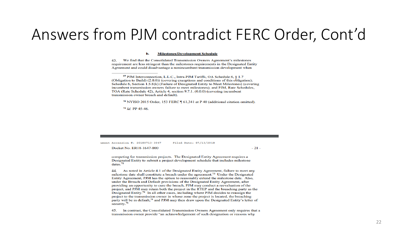#### Answers from PJM contradict FERC Order, Cont'd

#### **Milestones/Development Schedule** b.

 $43.$ We find that the Consolidated Transmission Owners Agreement's milestones requirement are less stringent than the milestones requirements in the Designated Entity Agreement and could disadvantage a nonincumbent transmission development when

<sup>70</sup> NYISO 2015 Order, 153 FERC 161,341 at P 40 (additional citation omitted).

<sup>71</sup> Id. PP 45-46.

Filed Date: 07/13/2018 ument Accession #: 20180713-3047

Docket No. ER18-1647-000

 $-21-$ 

competing for transmission projects. The Designated Entity Agreement requires a Designated Entity to submit a project development schedule that includes milestone dates. $72$ 

44. As noted in Article 4.1 of the Designated Entity Agreement, failure to meet any milestone date shall constitute a breach under the agreement.<sup>73</sup> Under the Designated Entity Agreement, PJM has the option to reasonably extend the milestone date. Also, under the Breach and Default provisions of the Designated Entity Agreement, after providing an opportunity to cure the breach, PJM may conduct a reevaluation of the project, and PJM may retain both the project in the RTEP and the breaching party as the Designated Entity.<sup>74</sup> In all other cases, including where PJM decides to reassign the project to the transmission owner in whose zone the project is located, the breaching party will be in default.<sup>75</sup> and PJM may then draw upon the Designated Entity's letter of security.<sup>76</sup>

45. In contrast, the Consolidated Transmission Owners Agreement only requires that a transmission owner provide "an acknowledgement of such designation or reasons why

<sup>&</sup>lt;sup>69</sup> PJM Interconnection, L.L.C., Intra-PJM Tariffs, OA Schedule 6, 8 1.7 (Obligation to Build) (2.0.0)) (covering exceptions and conditions of this obligation); Schedule 6, Section 1.5.8(k) (Failure of Designated Entity to Meet Milestones) (covering incumbent transmission owners failure to meet milestones); and PJM, Rate Schedules, TOA (Rate Schedule 42), Article 4, section 9.7.1, (0.0.0) (covering incumbent transmission owner breach and default).